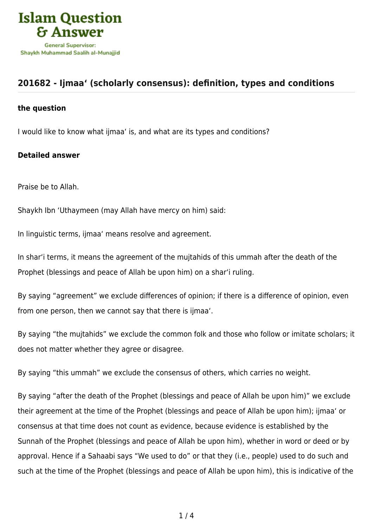

## **[201682 - Ijmaa' \(scholarly consensus\): definition, types and conditions](https://islamqa.com/en/answers/201682/ijmaa-scholarly-consensus-definition-types-and-conditions)**

## **the question**

I would like to know what ijmaa' is, and what are its types and conditions?

## **Detailed answer**

Praise be to Allah.

Shaykh Ibn 'Uthaymeen (may Allah have mercy on him) said:

In linguistic terms, ijmaa' means resolve and agreement.

In shar'i terms, it means the agreement of the mujtahids of this ummah after the death of the Prophet (blessings and peace of Allah be upon him) on a shar'i ruling.

By saying "agreement" we exclude differences of opinion; if there is a difference of opinion, even from one person, then we cannot say that there is ijmaa'.

By saying "the mujtahids" we exclude the common folk and those who follow or imitate scholars; it does not matter whether they agree or disagree.

By saying "this ummah" we exclude the consensus of others, which carries no weight.

By saying "after the death of the Prophet (blessings and peace of Allah be upon him)" we exclude their agreement at the time of the Prophet (blessings and peace of Allah be upon him); ijmaa' or consensus at that time does not count as evidence, because evidence is established by the Sunnah of the Prophet (blessings and peace of Allah be upon him), whether in word or deed or by approval. Hence if a Sahaabi says "We used to do" or that they (i.e., people) used to do such and such at the time of the Prophet (blessings and peace of Allah be upon him), this is indicative of the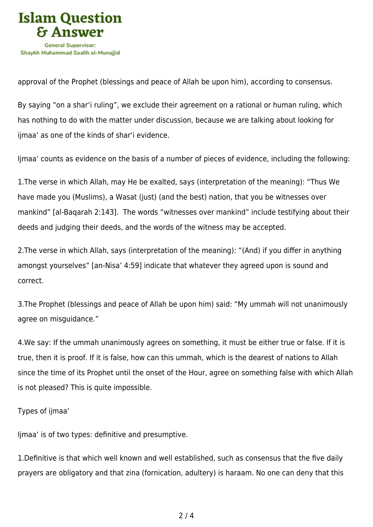

approval of the Prophet (blessings and peace of Allah be upon him), according to consensus.

By saying "on a shar'i ruling", we exclude their agreement on a rational or human ruling, which has nothing to do with the matter under discussion, because we are talking about looking for ijmaa' as one of the kinds of shar'i evidence.

Ijmaa' counts as evidence on the basis of a number of pieces of evidence, including the following:

1.The verse in which Allah, may He be exalted, says (interpretation of the meaning): "Thus We have made you (Muslims), a Wasat (just) (and the best) nation, that you be witnesses over mankind" [al-Baqarah 2:143]. The words "witnesses over mankind" include testifying about their deeds and judging their deeds, and the words of the witness may be accepted.

2.The verse in which Allah, says (interpretation of the meaning): "(And) if you differ in anything amongst yourselves" [an-Nisa' 4:59] indicate that whatever they agreed upon is sound and correct.

3.The Prophet (blessings and peace of Allah be upon him) said: "My ummah will not unanimously agree on misguidance."

4.We say: If the ummah unanimously agrees on something, it must be either true or false. If it is true, then it is proof. If it is false, how can this ummah, which is the dearest of nations to Allah since the time of its Prophet until the onset of the Hour, agree on something false with which Allah is not pleased? This is quite impossible.

## Types of ijmaa'

Ijmaa' is of two types: definitive and presumptive.

1.Definitive is that which well known and well established, such as consensus that the five daily prayers are obligatory and that zina (fornication, adultery) is haraam. No one can deny that this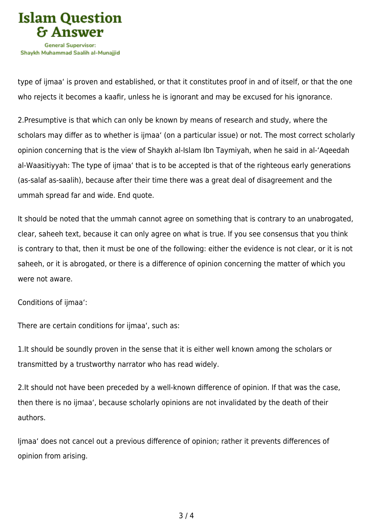

type of ijmaa' is proven and established, or that it constitutes proof in and of itself, or that the one who rejects it becomes a kaafir, unless he is ignorant and may be excused for his ignorance.

2.Presumptive is that which can only be known by means of research and study, where the scholars may differ as to whether is ijmaa' (on a particular issue) or not. The most correct scholarly opinion concerning that is the view of Shaykh al-Islam Ibn Taymiyah, when he said in al-'Aqeedah al-Waasitiyyah: The type of ijmaa' that is to be accepted is that of the righteous early generations (as-salaf as-saalih), because after their time there was a great deal of disagreement and the ummah spread far and wide. End quote.

It should be noted that the ummah cannot agree on something that is contrary to an unabrogated, clear, saheeh text, because it can only agree on what is true. If you see consensus that you think is contrary to that, then it must be one of the following: either the evidence is not clear, or it is not saheeh, or it is abrogated, or there is a difference of opinion concerning the matter of which you were not aware.

Conditions of ijmaa':

There are certain conditions for ijmaa', such as:

1.It should be soundly proven in the sense that it is either well known among the scholars or transmitted by a trustworthy narrator who has read widely.

2.It should not have been preceded by a well-known difference of opinion. If that was the case, then there is no ijmaa', because scholarly opinions are not invalidated by the death of their authors.

Ijmaa' does not cancel out a previous difference of opinion; rather it prevents differences of opinion from arising.